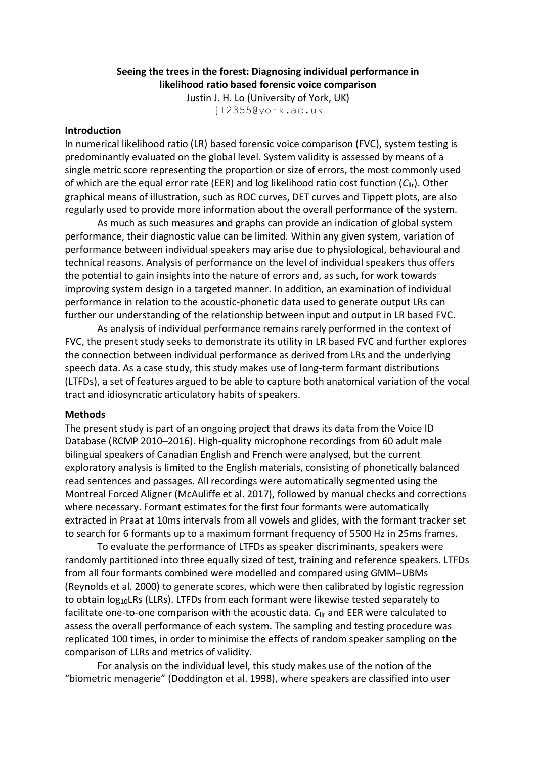### **Seeing the trees in the forest: Diagnosing individual performance in likelihood ratio based forensic voice comparison**

Justin J. H. Lo (University of York, UK) jl2355@york.ac.uk

#### **Introduction**

In numerical likelihood ratio (LR) based forensic voice comparison (FVC), system testing is predominantly evaluated on the global level. System validity is assessed by means of a single metric score representing the proportion or size of errors, the most commonly used of which are the equal error rate (EER) and log likelihood ratio cost function (*C*llr). Other graphical means of illustration, such as ROC curves, DET curves and Tippett plots, are also regularly used to provide more information about the overall performance of the system.

As much as such measures and graphs can provide an indication of global system performance, their diagnostic value can be limited. Within any given system, variation of performance between individual speakers may arise due to physiological, behavioural and technical reasons. Analysis of performance on the level of individual speakers thus offers the potential to gain insights into the nature of errors and, as such, for work towards improving system design in a targeted manner. In addition, an examination of individual performance in relation to the acoustic-phonetic data used to generate output LRs can further our understanding of the relationship between input and output in LR based FVC.

As analysis of individual performance remains rarely performed in the context of FVC, the present study seeks to demonstrate its utility in LR based FVC and further explores the connection between individual performance as derived from LRs and the underlying speech data. As a case study, this study makes use of long-term formant distributions (LTFDs), a set of features argued to be able to capture both anatomical variation of the vocal tract and idiosyncratic articulatory habits of speakers.

### **Methods**

The present study is part of an ongoing project that draws its data from the Voice ID Database (RCMP 2010–2016). High-quality microphone recordings from 60 adult male bilingual speakers of Canadian English and French were analysed, but the current exploratory analysis is limited to the English materials, consisting of phonetically balanced read sentences and passages. All recordings were automatically segmented using the Montreal Forced Aligner (McAuliffe et al. 2017), followed by manual checks and corrections where necessary. Formant estimates for the first four formants were automatically extracted in Praat at 10ms intervals from all vowels and glides, with the formant tracker set to search for 6 formants up to a maximum formant frequency of 5500 Hz in 25ms frames.

To evaluate the performance of LTFDs as speaker discriminants, speakers were randomly partitioned into three equally sized of test, training and reference speakers. LTFDs from all four formants combined were modelled and compared using GMM–UBMs (Reynolds et al. 2000) to generate scores, which were then calibrated by logistic regression to obtain  $log_{10}LRS$  (LLRs). LTFDs from each formant were likewise tested separately to facilitate one-to-one comparison with the acoustic data.  $C_{\parallel r}$  and EER were calculated to assess the overall performance of each system. The sampling and testing procedure was replicated 100 times, in order to minimise the effects of random speaker sampling on the comparison of LLRs and metrics of validity.

For analysis on the individual level, this study makes use of the notion of the "biometric menagerie" (Doddington et al. 1998), where speakers are classified into user